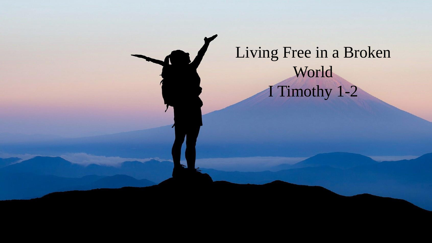# Living Free in a Broken World I Timothy 1-2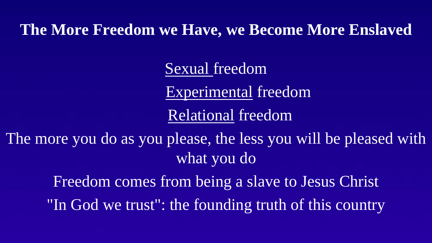## **The More Freedom we Have, we Become More Enslaved**

Sexual freedom

Experimental freedom

Relational freedom

The more you do as you please, the less you will be pleased with what you do

Freedom comes from being a slave to Jesus Christ

"In God we trust": the founding truth of this country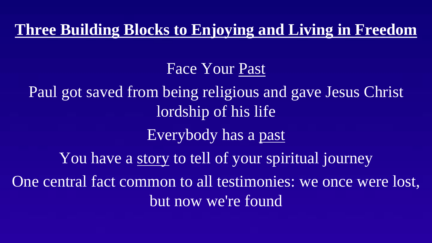**Three Building Blocks to Enjoying and Living in Freedom**

#### Face Your Past

Paul got saved from being religious and gave Jesus Christ lordship of his life Everybody has a past You have a story to tell of your spiritual journey One central fact common to all testimonies: we once were lost, but now we're found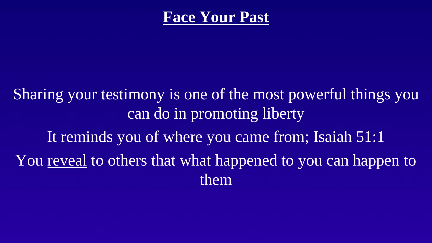## **Face Your Past**

Sharing your testimony is one of the most powerful things you can do in promoting liberty It reminds you of where you came from; Isaiah 51:1 You reveal to others that what happened to you can happen to them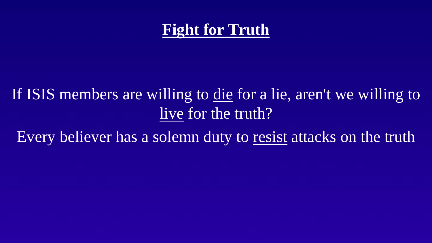# **Fight for Truth**

# If ISIS members are willing to die for a lie, aren't we willing to live for the truth?

Every believer has a solemn duty to resist attacks on the truth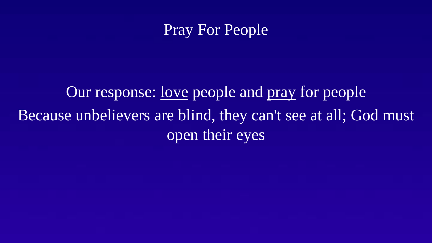## Pray For People

# Our response: love people and pray for people Because unbelievers are blind, they can't see at all; God must open their eyes